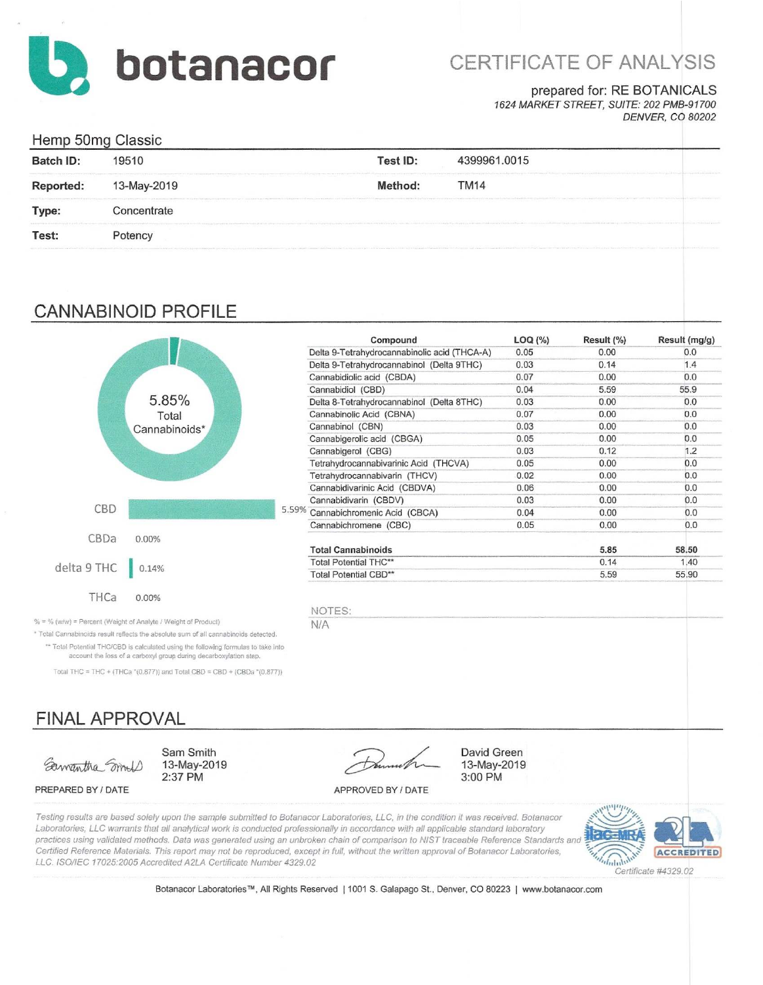

# CERTIFICATE OF ANALYSIS

## prepared for: RE BOTANICALS

1624 MARKET STREET, SUITE: 202 PMB-91700 **DENVER, CO 80202** 

| Hemp 50mg Classic |                                                                                                     |                                                                                                                                                                                              |                                                                                                                                                                                                                                        |  |  |
|-------------------|-----------------------------------------------------------------------------------------------------|----------------------------------------------------------------------------------------------------------------------------------------------------------------------------------------------|----------------------------------------------------------------------------------------------------------------------------------------------------------------------------------------------------------------------------------------|--|--|
| <b>Batch ID:</b>  | 19510                                                                                               | Test ID:                                                                                                                                                                                     | 4399961.0015                                                                                                                                                                                                                           |  |  |
| <b>Reported:</b>  | 13-May-2019                                                                                         | Method:                                                                                                                                                                                      | the final manufacturer of the contract and the contract of the second contract of the contract of the contract of the contract of the contract of the contract of the contract of the contract of the contract of the contract<br>TM14 |  |  |
| Type:             | THE RESIDENCE AND THE RESIDENCE OF A STATE OF THE RESIDENCE OF A REPORT OF A SERVER.<br>Concentrate | ing partners with the experimental control of the contexts for the experimental company was entitled to the experimental developmental experimental control of the experimental experimental | The company of the company of the company of the company of the company of the company of the company of the company of the company of the company of the company of the company of the company of the company of the company          |  |  |
| Test:             | Potency                                                                                             |                                                                                                                                                                                              |                                                                                                                                                                                                                                        |  |  |
|                   |                                                                                                     |                                                                                                                                                                                              |                                                                                                                                                                                                                                        |  |  |

## **CANNABINOID PROFILE**



|       | Compound                                     | LOG (%) | Result (%) | Result (mg/g) |
|-------|----------------------------------------------|---------|------------|---------------|
|       | Delta 9-Tetrahydrocannabinolic acid (THCA-A) | 0.05    | 0.00       | 0.0           |
|       | Delta 9-Tetrahydrocannabinol (Delta 9THC)    | 0.03    | 0.14       | 1.4           |
|       | Cannabidiolic acid (CBDA)                    | 0.07    | 0.00       | 0.0           |
|       | Cannabidiol (CBD)                            | 0.04    | 5.59       | 55.9          |
|       | Delta 8-Tetrahydrocannabinol (Delta 8THC)    | 0.03    | 0.00       | 0.0           |
|       | Cannabinolic Acid (CBNA)                     | 0.07    | 0.00       | 0.0           |
|       | Cannabinol (CBN)                             | 0.03    | 0.00       | 0.0           |
|       | Cannabigerolic acid (CBGA)                   | 0.05    | 0.00       | 0.0           |
|       | Cannabigerol (CBG)                           | 0.03    | 0.12       | 1.2           |
|       | Tetrahydrocannabivarinic Acid (THCVA)        | 0.05    | 0.00       | 0.0           |
|       | Tetrahydrocannabivarin (THCV)                | 0.02    | 0.00       | 0.0           |
|       | Cannabidivarinic Acid (CBDVA)                | 0.06    | 0.00       | 0.0           |
|       | Cannabidivarin (CBDV)                        | 0.03    | 0.00       | 0.0           |
| 5.59% | Cannabichromenic Acid (CBCA)                 | 0.04    | 0.00       | 0.0           |
|       | Cannabichromene (CBC)                        | 0.05    | 0.00       | 0.0           |
|       | <b>Total Cannabinoids</b>                    |         | 5.85       | 58.50         |
|       | Total Potential THC**                        |         | 0.14       | 1.40          |
|       | Total Potential CBD**                        |         | 5.59       | 55.90         |

David Green

13-May-2019

3:00 PM

NOTES:  $N/A$ 

% = % (w/w) = Percent (Weight of Analyte / Weight of Product)

\* Total Cannabinoids result reflects the absolute sum of all cannabinoids detected. \*\* Total Potential THC/CBD is calculated using the following formulas to take into account the loss of a carboxyl group during decarboxylation step

Total THC = THC + (THCa  $*(0.877)$ ) and Total CBD = CBD + (CBDa  $*(0.877)$ )

Sam Smith

2:37 PM

13-May-2019

# **FINAL APPROVAL**

Samantha Smoll

PREPARED BY / DATE

APPROVED BY / DATE

Testing results are based solely upon the sample submitted to Botanacor Laboratories, LLC, in the condition it was received. Botanacor Laboratories, LLC warrants that all analytical work is conducted professionally in accordance with all applicable standard laboratory practices using validated methods. Data was generated using an unbroken chain of comparison to NIST traceable Reference Standards and Certified Reference Materials. This report may not be reproduced, except in full, without the written approval of Botanacor Laboratories, LLC. ISO/IEC 17025:2005 Accredited A2LA Certificate Number 4329.02



Certificate #4329.02

Botanacor Laboratories™, All Rights Reserved | 1001 S. Galapago St., Denver, CO 80223 | www.botanacor.com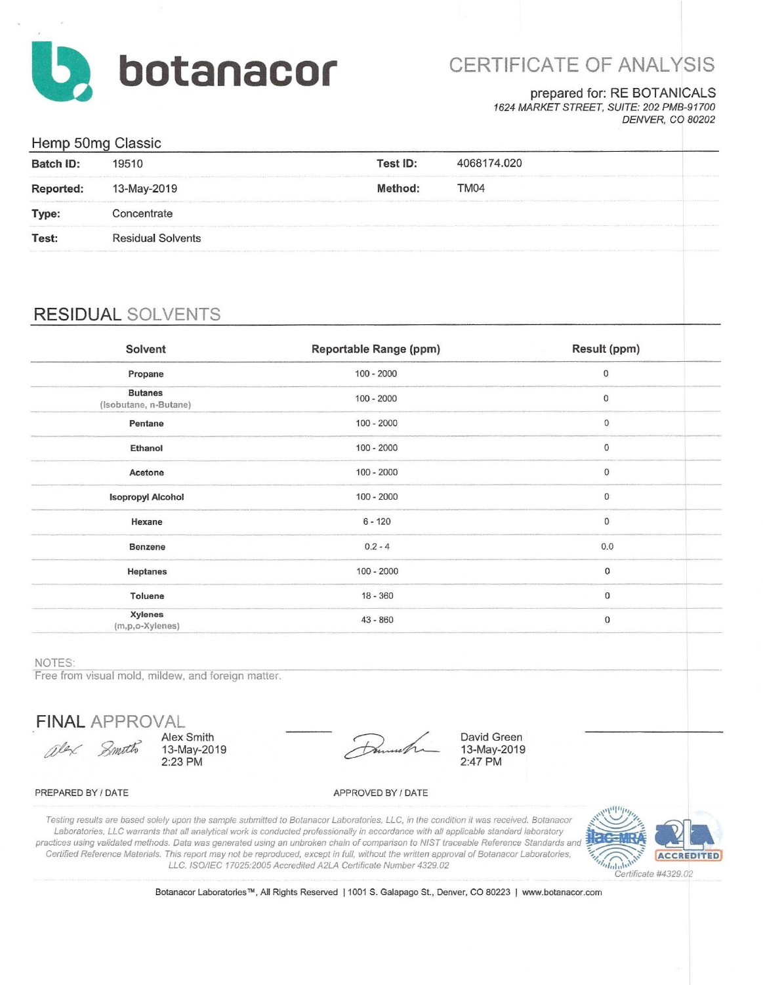

# CERTIFICATE OF ANALYSIS

### prepared for: RE BOTANICALS

1624 MARKET STREET, SUITE: 202 PMB-91700 **DENVER, CO 80202** 

## Hemp 50mg Classic

|                  | ັ                                                                                                                                                                                                                      |                                                                                                                                                                                                                                |             |  |
|------------------|------------------------------------------------------------------------------------------------------------------------------------------------------------------------------------------------------------------------|--------------------------------------------------------------------------------------------------------------------------------------------------------------------------------------------------------------------------------|-------------|--|
| <b>Batch ID:</b> | 19510                                                                                                                                                                                                                  | Test ID:                                                                                                                                                                                                                       | 4068174.020 |  |
| <b>Reported:</b> | 13-May-2019                                                                                                                                                                                                            | Method:                                                                                                                                                                                                                        | TM04        |  |
| Type:            | The local construction of the property of the two discussions in an excess of a second to the address case of a second construction of the approximately and the approximately the approximately second<br>Concentrate |                                                                                                                                                                                                                                |             |  |
| Test:            | <b>Residual Solvents</b>                                                                                                                                                                                               |                                                                                                                                                                                                                                |             |  |
|                  |                                                                                                                                                                                                                        | chindren's the manuscript (1994) in 1993 by the last scale (with the last PT) and Complete the scale and the MCC of the Complete State of the Complete State (and the Publishment (with the Publishment Complete) in the Publi |             |  |

## **RESIDUAL SOLVENTS**

| Solvent                                 | Reportable Range (ppm) | Result (ppm)        |  |
|-----------------------------------------|------------------------|---------------------|--|
| Propane                                 | $100 - 2000$           | $\mathbf 0$         |  |
| <b>Butanes</b><br>(Isobutane, n-Butane) | $100 - 2000$           | $\mathbf 0$         |  |
| Pentane                                 | $100 - 2000$           | $\mathsf{O}\xspace$ |  |
| Ethanol                                 | $100 - 2000$           | $\pmb{0}$           |  |
| Acetone                                 | $100 - 2000$           | $\pmb{0}$           |  |
| <b>Isopropyl Alcohol</b>                | $100 - 2000$           | $\bf{0}$            |  |
| Hexane                                  | $6 - 120$              | $\mathbf{0}$        |  |
| Benzene                                 | $0.2 - 4$              | 0.0                 |  |
| Heptanes                                | $100 - 2000$           | $\mathsf{O}\xspace$ |  |
| Toluene                                 | $18 - 360$             | $\pmb{0}$           |  |
| <b>Xylenes</b><br>(m,p,o-Xylenes)       | $43 - 860$             | $\mathbf 0$         |  |

#### NOTES:

Free from visual mold, mildew, and foreign matter.

**FINAL APPROVAL** 

Alex Smith alex Smoth 13-May-2019 2:23 PM

David Green 13-May-2019 2:47 PM

#### PREPARED BY / DATE

APPROVED BY / DATE

Testing results are based solely upon the sample submitted to Botanacor Laboratories, LLC, in the condition it was received. Botanacor Laboratories, LLC warrants that all analytical work is conducted professionally in accordance with all applicable standard laboratory practices using validated methods. Data was generated using an unbroken chain of comparison to NIST traceable Reference Standards and Certified Reference Materials. This report may not be reproduced, except in full, without the written approval of Botanacor Laboratories, LLC. ISO/IEC 17025:2005 Accredited A2LA Certificate Number 4329.02



Botanacor Laboratories™, All Rights Reserved | 1001 S. Galapago St., Denver, CO 80223 | www.botanacor.com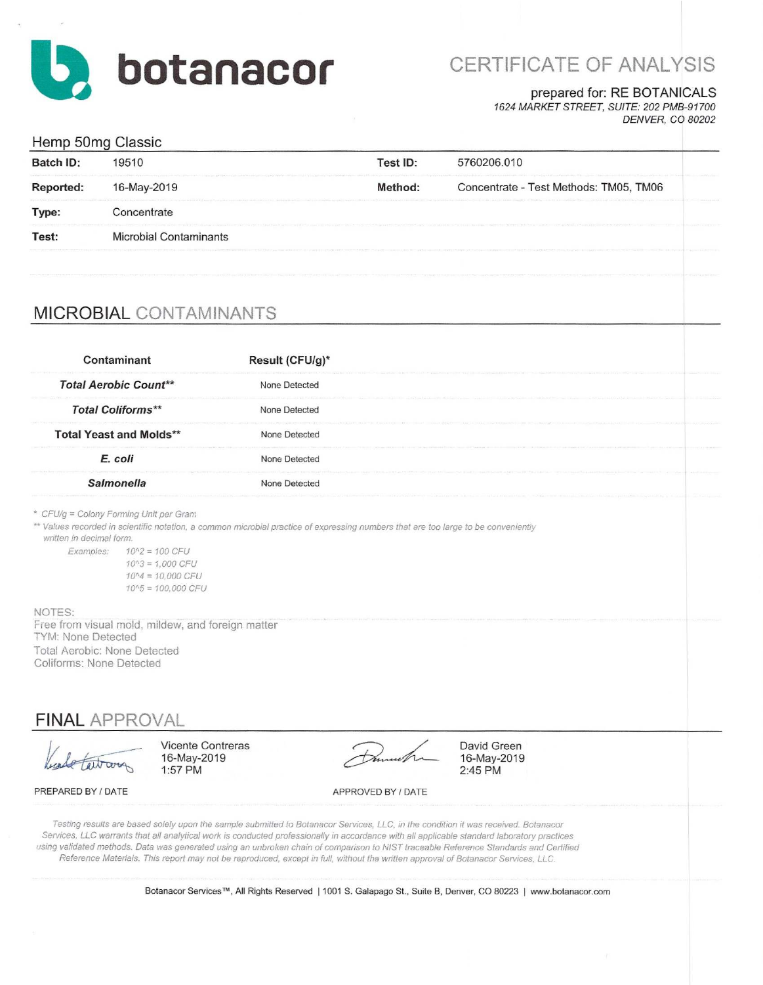

# CERTIFICATE OF ANALYSIS

### prepared for: RE BOTANICALS

1624 MARKET STREET, SUITE: 202 PMB-91700 **DENVER, CO 80202** 

## Hemp 50mg Classic

|                  | ີ                      |          |                                                                                                                                                                                                                                |
|------------------|------------------------|----------|--------------------------------------------------------------------------------------------------------------------------------------------------------------------------------------------------------------------------------|
| <b>Batch ID:</b> | 19510                  | Test ID: | 5760206.010                                                                                                                                                                                                                    |
| Reported:        | 16-May-2019            | Method:  | Concentrate - Test Methods: TM05, TM06                                                                                                                                                                                         |
| Type:            | Concentrate            |          | CAVATEL APPARATION CONTINUES ANALYS AND FOR THE EXTREMELY AND THE CONTINUES OF THE CONTINUES OF THE AUTHOR CONTINUES OF THE AUTHOR CONTINUES OF THE CONTINUES OF THE CONTINUES OF THE CONTINUES OF THE CONTINUES OF THE CONTIN |
| Test:            | Microbial Contaminants |          |                                                                                                                                                                                                                                |
|                  |                        |          | THE RESERVATION OF THE CONSTRUCTION OF THE CONSTRUCTION OF THE CONSTRUCTION OF THE CONSTRUCTION OF THE CONSTRUCTION OF THE CONSTRUCTION OF THE CONSTRUCTION OF THE CONSTRUCTION OF THE CONSTRUCTION OF THE CONSTRUCTION OF THE |

## MICROBIAL CONTAMINANTS

| Contaminant                                                                                                                                                                                                 |                                                                                                                                                     | Result (CFU/g)*    |                                                                                                                                                                                                                                                                                                                                                                                                                                                                                                                                                                |  |
|-------------------------------------------------------------------------------------------------------------------------------------------------------------------------------------------------------------|-----------------------------------------------------------------------------------------------------------------------------------------------------|--------------------|----------------------------------------------------------------------------------------------------------------------------------------------------------------------------------------------------------------------------------------------------------------------------------------------------------------------------------------------------------------------------------------------------------------------------------------------------------------------------------------------------------------------------------------------------------------|--|
| <b>Total Aerobic Count**</b>                                                                                                                                                                                |                                                                                                                                                     | None Detected      |                                                                                                                                                                                                                                                                                                                                                                                                                                                                                                                                                                |  |
| <b>Total Coliforms**</b>                                                                                                                                                                                    |                                                                                                                                                     | None Detected      |                                                                                                                                                                                                                                                                                                                                                                                                                                                                                                                                                                |  |
| <b>Total Yeast and Molds**</b>                                                                                                                                                                              |                                                                                                                                                     | None Detected      |                                                                                                                                                                                                                                                                                                                                                                                                                                                                                                                                                                |  |
| E. coli                                                                                                                                                                                                     |                                                                                                                                                     | None Detected      |                                                                                                                                                                                                                                                                                                                                                                                                                                                                                                                                                                |  |
| <b>Salmonella</b>                                                                                                                                                                                           |                                                                                                                                                     | None Detected      |                                                                                                                                                                                                                                                                                                                                                                                                                                                                                                                                                                |  |
| * CFU/g = Colony Forming Unit per Gram<br>written in decimal form.<br>Examples:<br>NOTES:<br><b>TYM: None Detected</b><br>Total Aerobic: None Detected<br>Coliforms: None Detected<br><b>FINAL APPROVAL</b> | $10^{2} = 100$ CFU<br>$10^{3} = 1.000$ CFU<br>$10^{4} = 10,000$ CFU<br>$10^{4}5 = 100,000$ CFU<br>Free from visual mold, mildew, and foreign matter |                    | ** Values recorded in scientific notation, a common microbial practice of expressing numbers that are too large to be conveniently                                                                                                                                                                                                                                                                                                                                                                                                                             |  |
|                                                                                                                                                                                                             | <b>Vicente Contreras</b><br>16-May-2019<br>1:57 PM                                                                                                  |                    | David Green<br>16-May-2019<br>2:45 PM                                                                                                                                                                                                                                                                                                                                                                                                                                                                                                                          |  |
| PREPARED BY / DATE                                                                                                                                                                                          |                                                                                                                                                     | APPROVED BY / DATE |                                                                                                                                                                                                                                                                                                                                                                                                                                                                                                                                                                |  |
|                                                                                                                                                                                                             |                                                                                                                                                     |                    | Testing results are based solely upon the sample submitted to Botanacor Services, LLC, in the condition it was received. Botanacor<br>Services, LLC warrants that all analytical work is conducted professionally in accordance with all applicable standard laboratory practices<br>using validated methods. Data was generated using an unbroken chain of comparison to NIST traceable Reference Standards and Certified<br>Reference Materials. This report may not be reproduced, except in full, without the written approval of Botanacor Services, LLC. |  |

Botanacor Services™, All Rights Reserved | 1001 S. Galapago St., Suite B, Denver, CO 80223 | www.botanacor.com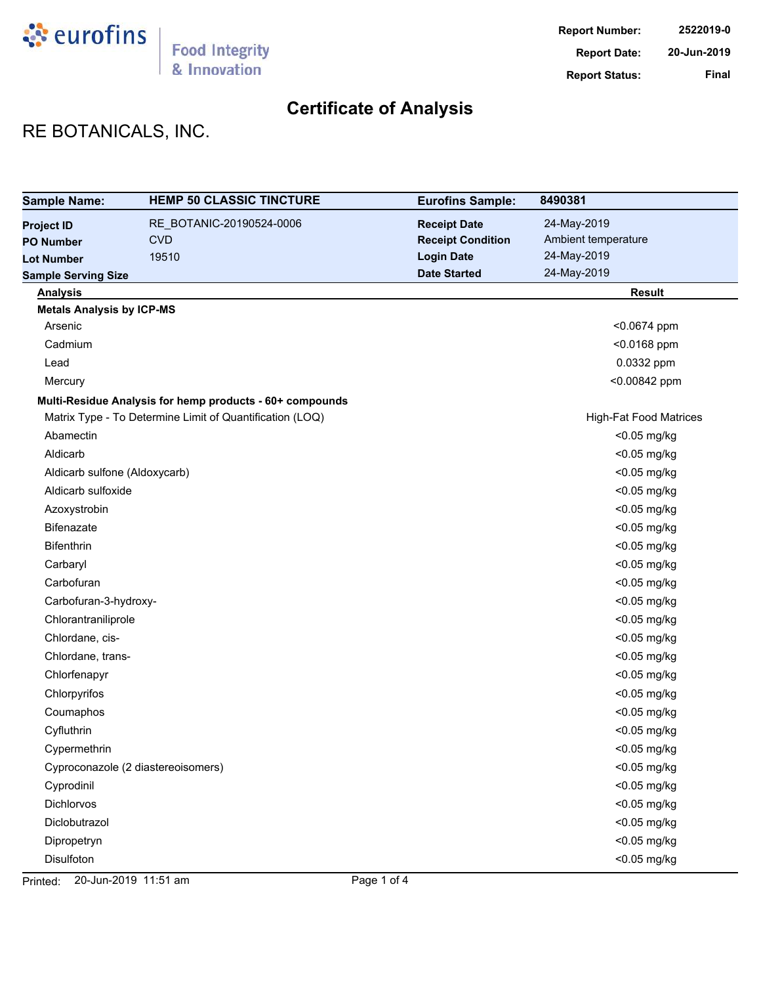

# RE BOTANICALS, INC.

| <b>Sample Name:</b>              | <b>HEMP 50 CLASSIC TINCTURE</b>                          | <b>Eurofins Sample:</b>  | 8490381                       |
|----------------------------------|----------------------------------------------------------|--------------------------|-------------------------------|
| <b>Project ID</b>                | RE_BOTANIC-20190524-0006                                 | <b>Receipt Date</b>      | 24-May-2019                   |
| <b>PO Number</b>                 | <b>CVD</b>                                               | <b>Receipt Condition</b> | Ambient temperature           |
| <b>Lot Number</b>                | 19510                                                    | <b>Login Date</b>        | 24-May-2019                   |
| <b>Sample Serving Size</b>       |                                                          | <b>Date Started</b>      | 24-May-2019                   |
| <b>Analysis</b>                  |                                                          |                          | <b>Result</b>                 |
| <b>Metals Analysis by ICP-MS</b> |                                                          |                          |                               |
| Arsenic                          |                                                          |                          | <0.0674 ppm                   |
| Cadmium                          |                                                          |                          | <0.0168 ppm                   |
| Lead                             |                                                          |                          | 0.0332 ppm                    |
| Mercury                          |                                                          |                          | <0.00842 ppm                  |
|                                  | Multi-Residue Analysis for hemp products - 60+ compounds |                          |                               |
|                                  | Matrix Type - To Determine Limit of Quantification (LOQ) |                          | <b>High-Fat Food Matrices</b> |
| Abamectin                        |                                                          |                          | <0.05 mg/kg                   |
| Aldicarb                         |                                                          |                          | <0.05 mg/kg                   |
| Aldicarb sulfone (Aldoxycarb)    |                                                          |                          | <0.05 mg/kg                   |
| Aldicarb sulfoxide               |                                                          |                          | <0.05 mg/kg                   |
| Azoxystrobin                     |                                                          |                          | <0.05 mg/kg                   |
| Bifenazate                       |                                                          |                          | <0.05 mg/kg                   |
| <b>Bifenthrin</b>                |                                                          |                          | <0.05 mg/kg                   |
| Carbaryl                         |                                                          |                          | <0.05 mg/kg                   |
| Carbofuran                       |                                                          |                          | <0.05 mg/kg                   |
| Carbofuran-3-hydroxy-            |                                                          |                          | <0.05 mg/kg                   |
| Chlorantraniliprole              |                                                          |                          | <0.05 mg/kg                   |
| Chlordane, cis-                  |                                                          |                          | <0.05 mg/kg                   |
| Chlordane, trans-                |                                                          |                          | <0.05 mg/kg                   |
| Chlorfenapyr                     |                                                          |                          | <0.05 mg/kg                   |
| Chlorpyrifos                     |                                                          |                          | <0.05 mg/kg                   |
| Coumaphos                        |                                                          |                          | <0.05 mg/kg                   |
| Cyfluthrin                       |                                                          |                          | <0.05 mg/kg                   |
| Cypermethrin                     |                                                          |                          | <0.05 mg/kg                   |
|                                  | Cyproconazole (2 diastereoisomers)                       |                          | <0.05 mg/kg                   |
| Cyprodinil                       |                                                          |                          | $<$ 0.05 mg/kg                |
| Dichlorvos                       |                                                          |                          | <0.05 mg/kg                   |
| Diclobutrazol                    |                                                          |                          | <0.05 mg/kg                   |
| Dipropetryn                      |                                                          |                          | <0.05 mg/kg                   |
| Disulfoton                       |                                                          |                          | <0.05 mg/kg                   |

Printed: 20-Jun-2019 11:51 am Page 1 of 4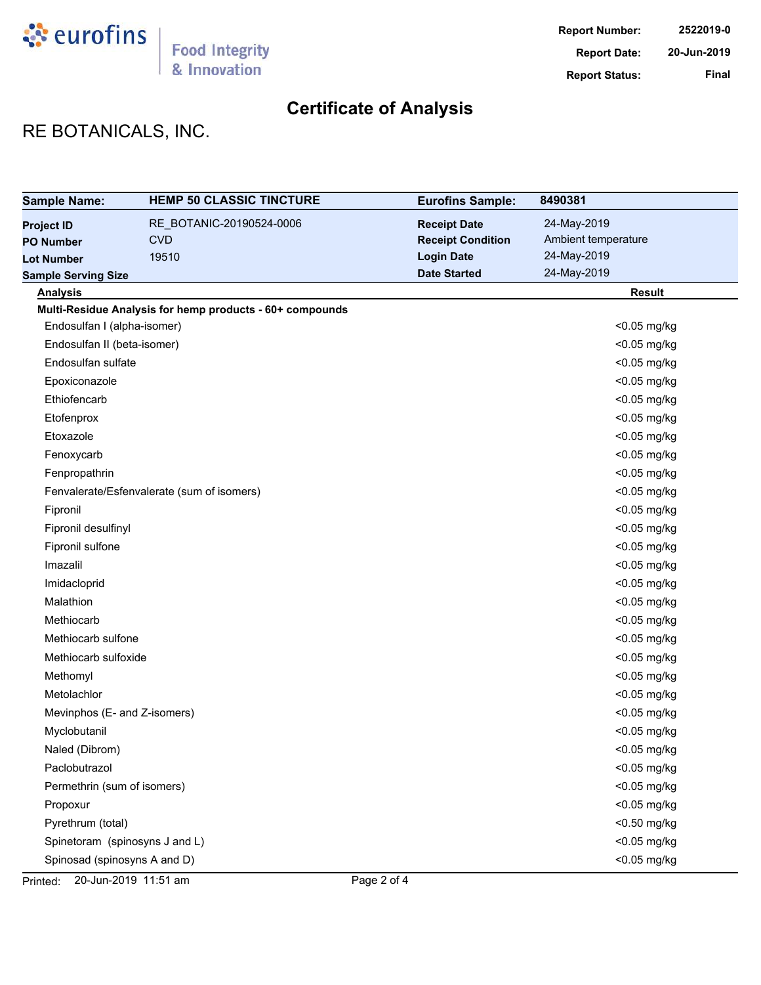

# RE BOTANICALS, INC.

| <b>Sample Name:</b>            | <b>HEMP 50 CLASSIC TINCTURE</b>                          | <b>Eurofins Sample:</b>  | 8490381             |
|--------------------------------|----------------------------------------------------------|--------------------------|---------------------|
| <b>Project ID</b>              | RE_BOTANIC-20190524-0006                                 | <b>Receipt Date</b>      | 24-May-2019         |
| <b>PO Number</b>               | <b>CVD</b>                                               | <b>Receipt Condition</b> | Ambient temperature |
| <b>Lot Number</b>              | 19510                                                    | <b>Login Date</b>        | 24-May-2019         |
| <b>Sample Serving Size</b>     |                                                          | <b>Date Started</b>      | 24-May-2019         |
| <b>Analysis</b>                |                                                          |                          | <b>Result</b>       |
|                                | Multi-Residue Analysis for hemp products - 60+ compounds |                          |                     |
| Endosulfan I (alpha-isomer)    |                                                          |                          | <0.05 mg/kg         |
| Endosulfan II (beta-isomer)    |                                                          |                          | <0.05 mg/kg         |
| Endosulfan sulfate             |                                                          |                          | <0.05 mg/kg         |
| Epoxiconazole                  |                                                          |                          | <0.05 mg/kg         |
| Ethiofencarb                   |                                                          |                          | <0.05 mg/kg         |
| Etofenprox                     |                                                          |                          | <0.05 mg/kg         |
| Etoxazole                      |                                                          |                          | <0.05 mg/kg         |
| Fenoxycarb                     |                                                          |                          | <0.05 mg/kg         |
| Fenpropathrin                  |                                                          |                          | <0.05 mg/kg         |
|                                | Fenvalerate/Esfenvalerate (sum of isomers)               |                          | <0.05 mg/kg         |
| Fipronil                       |                                                          |                          | <0.05 mg/kg         |
| Fipronil desulfinyl            |                                                          |                          | <0.05 mg/kg         |
| Fipronil sulfone               |                                                          |                          | <0.05 mg/kg         |
| Imazalil                       |                                                          |                          | <0.05 mg/kg         |
| Imidacloprid                   |                                                          |                          | <0.05 mg/kg         |
| Malathion                      |                                                          |                          | <0.05 mg/kg         |
| Methiocarb                     |                                                          |                          | <0.05 mg/kg         |
| Methiocarb sulfone             |                                                          |                          | <0.05 mg/kg         |
| Methiocarb sulfoxide           |                                                          |                          | <0.05 mg/kg         |
| Methomyl                       |                                                          |                          | <0.05 mg/kg         |
| Metolachlor                    |                                                          |                          | <0.05 mg/kg         |
| Mevinphos (E- and Z-isomers)   |                                                          |                          | <0.05 mg/kg         |
| Myclobutanil                   |                                                          |                          | <0.05 mg/kg         |
| Naled (Dibrom)                 |                                                          |                          | <0.05 mg/kg         |
| Paclobutrazol                  |                                                          |                          | <0.05 mg/kg         |
| Permethrin (sum of isomers)    |                                                          |                          | <0.05 mg/kg         |
| Propoxur                       |                                                          |                          | <0.05 mg/kg         |
| Pyrethrum (total)              |                                                          |                          | <0.50 mg/kg         |
| Spinetoram (spinosyns J and L) |                                                          |                          | <0.05 mg/kg         |
| Spinosad (spinosyns A and D)   |                                                          |                          | $<$ 0.05 mg/kg      |

Printed: 20-Jun-2019 11:51 am Page 2 of 4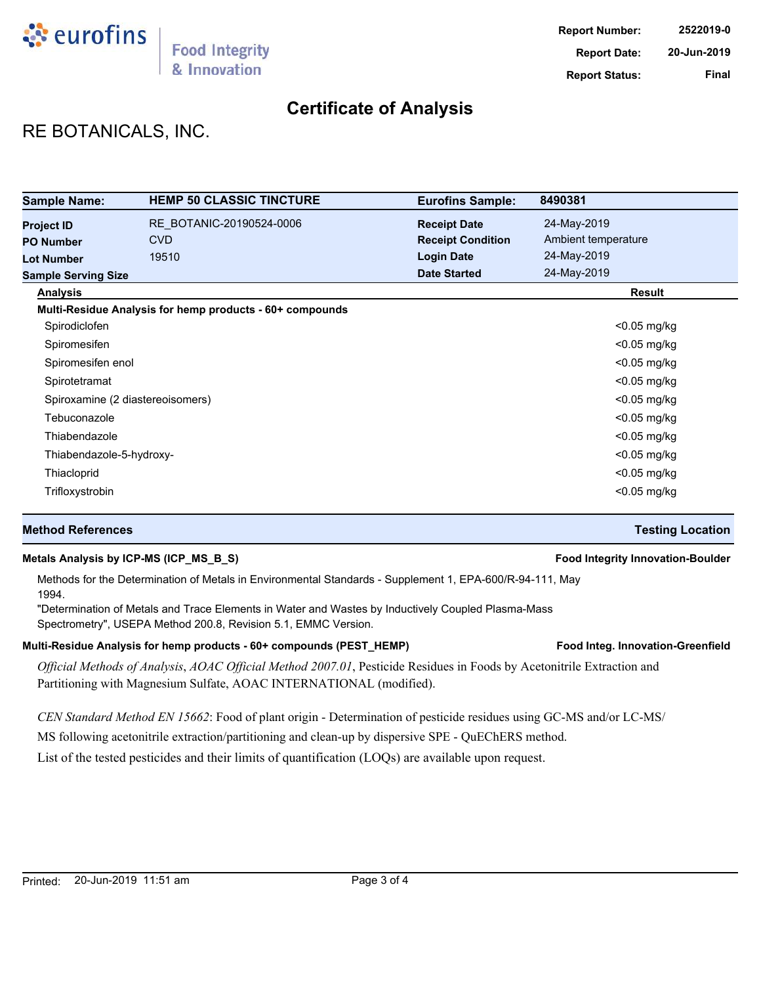

# RE BOTANICALS, INC.

| <b>Sample Name:</b>              | <b>HEMP 50 CLASSIC TINCTURE</b>                          | <b>Eurofins Sample:</b>  | 8490381             |
|----------------------------------|----------------------------------------------------------|--------------------------|---------------------|
| <b>Project ID</b>                | RE BOTANIC-20190524-0006                                 | <b>Receipt Date</b>      | 24-May-2019         |
| <b>PO Number</b>                 | <b>CVD</b>                                               | <b>Receipt Condition</b> | Ambient temperature |
| <b>Lot Number</b>                | 19510                                                    | <b>Login Date</b>        | 24-May-2019         |
| <b>Sample Serving Size</b>       |                                                          | <b>Date Started</b>      | 24-May-2019         |
| <b>Analysis</b>                  |                                                          |                          | Result              |
|                                  | Multi-Residue Analysis for hemp products - 60+ compounds |                          |                     |
| Spirodiclofen                    |                                                          |                          | $<$ 0.05 mg/kg      |
| Spiromesifen                     |                                                          |                          | $<$ 0.05 mg/kg      |
| Spiromesifen enol                |                                                          |                          | $<$ 0.05 mg/kg      |
| Spirotetramat                    |                                                          |                          | $<$ 0.05 mg/kg      |
| Spiroxamine (2 diastereoisomers) |                                                          |                          | <0.05 mg/kg         |
| Tebuconazole                     |                                                          |                          | $<$ 0.05 mg/kg      |
| Thiabendazole                    |                                                          |                          | $<$ 0.05 mg/kg      |
| Thiabendazole-5-hydroxy-         |                                                          |                          | $<$ 0.05 mg/kg      |
| Thiacloprid                      |                                                          |                          | $<$ 0.05 mg/kg      |
| Trifloxystrobin                  |                                                          |                          | $<$ 0.05 mg/kg      |

## **Method References Testing Location**

## **Metals Analysis by ICP-MS (ICP\_MS\_B\_S) Food Integrity Innovation-Boulder**

Methods for the Determination of Metals in Environmental Standards - Supplement 1, EPA-600/R-94-111, May 1994.

"Determination of Metals and Trace Elements in Water and Wastes by Inductively Coupled Plasma-Mass Spectrometry", USEPA Method 200.8, Revision 5.1, EMMC Version.

### Multi-Residue Analysis for hemp products - 60+ compounds (PEST\_HEMP) **Food Integ. Innovation-Greenfield**

*Official Methods of Analysis*, *AOAC Official Method 2007.01*, Pesticide Residues in Foods by Acetonitrile Extraction and Partitioning with Magnesium Sulfate, AOAC INTERNATIONAL (modified).

*CEN Standard Method EN 15662*: Food of plant origin - Determination of pesticide residues using GC-MS and/or LC-MS/

MS following acetonitrile extraction/partitioning and clean-up by dispersive SPE - QuEChERS method.

List of the tested pesticides and their limits of quantification (LOQs) are available upon request.